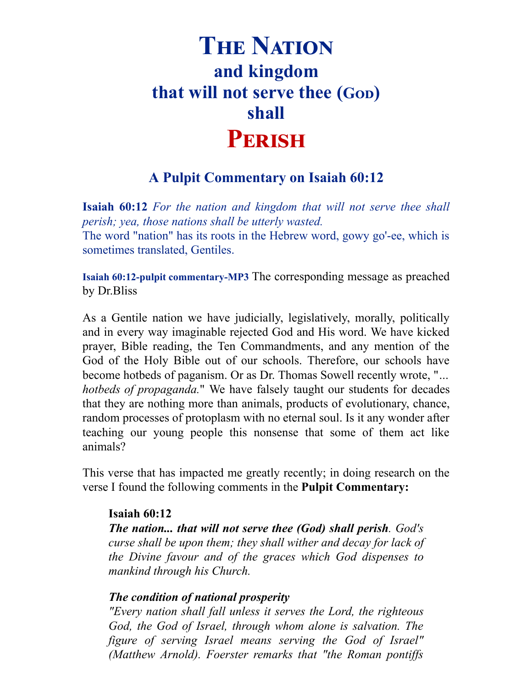# **THE NATION and kingdom that will not serve thee (G) shall** PERISH

## **A Pulpit Commentary on Isaiah 60:12**

**Isaiah 60:12** *For the nation and kingdom that will not serve thee shall perish; yea, those nations shall be utterly wasted.* The word "nation" has its roots in the Hebrew word, gowy go'-ee, which is sometimes translated, Gentiles.

**Isaiah 60:12-pulpit [commentary-MP3](http://opbm.org/media/Bliss-Isaiah%2060-12-pulpit%20commentary.mp3)** The corresponding message as preached by Dr.Bliss

As a Gentile nation we have judicially, legislatively, morally, politically and in every way imaginable rejected God and His word. We have kicked prayer, Bible reading, the Ten Commandments, and any mention of the God of the Holy Bible out of our schools. Therefore, our schools have become hotbeds of paganism. Or as Dr. Thomas Sowell recently wrote, "*… hotbeds of propaganda.*" We have falsely taught our students for decades that they are nothing more than animals, products of evolutionary, chance, random processes of protoplasm with no eternal soul. Is it any wonder after teaching our young people this nonsense that some of them act like animals?

This verse that has impacted me greatly recently; in doing research on the verse I found the following comments in the **Pulpit Commentary:**

### **Isaiah 60:12**

*The nation... that will not serve thee (God) shall perish. God's curse shall be upon them; they shall wither and decay for lack of the Divine favour and of the graces which God dispenses to mankind through his Church.*

### *The condition of national prosperity*

*"Every nation shall fall unless it serves the Lord, the righteous God, the God of Israel, through whom alone is salvation. The figure of serving Israel means serving the God of Israel" (Matthew Arnold). Foerster remarks that "the Roman pontif s*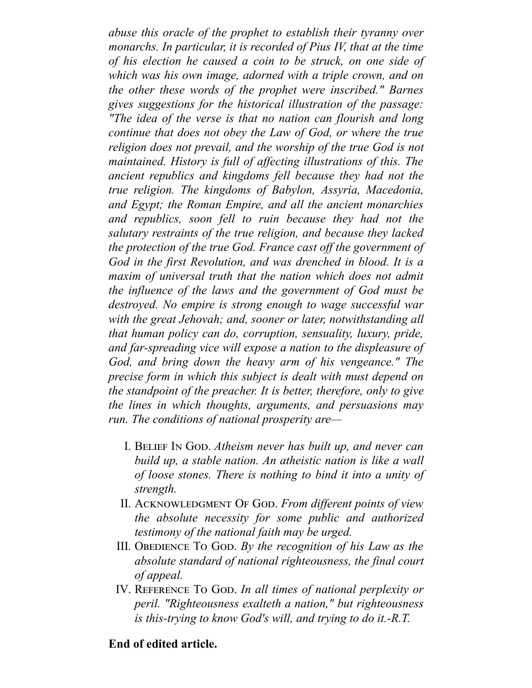*abuse this oracle of the prophet to establish their tyranny over monarchs. In particular, it is recorded of Pius IV, that at the time of his election he caused a coin to be struck, on one side of which was his own image, adorned with a triple crown, and on the other these words of the prophet were inscribed." Barnes gives suggestions for the historical illustration of the passage: "The idea of the verse is that no nation can flourish and long continue that does not obey the Law of God, or where the true religion does not prevail, and the worship of the true God is not maintained. History is full of af ecting illustrations of this. The ancient republics and kingdoms fell because they had not the true religion. The kingdoms of Babylon, Assyria, Macedonia, and Egypt; the Roman Empire, and all the ancient monarchies and republics, soon fell to ruin because they had not the salutary restraints of the true religion, and because they lacked the protection of the true God. France cast of the government of God in the first Revolution, and was drenched in blood. It is a maxim of universal truth that the nation which does not admit the influence of the laws and the government of God must be destroyed. No empire is strong enough to wage successful war with the great Jehovah; and, sooner or later, notwithstanding all that human policy can do, corruption, sensuality, luxury, pride, and far-spreading vice will expose a nation to the displeasure of God, and bring down the heavy arm of his vengeance." The precise form in which this subject is dealt with must depend on the standpoint of the preacher. It is better, therefore, only to give the lines in which thoughts, arguments, and persuasions may run. The conditions of national prosperity are—*

- I. BELIEF IN GOD. Atheism never has built up, and never can *build up, a stable nation. An atheistic nation is like a wall of loose stones. There is nothing to bind it into a unity of strength.*
- II. ACKNOWLEDGMENT OF GOD. From different points of view *the absolute necessity for some public and authorized testimony of the national faith may be urged.*
- III. OBEDIENCE To God. By the recognition of his Law as the *absolute standard of national righteousness, the final court of appeal.*
- IV. REFERENCE TO GOD. In all times of national perplexity or *peril. "Righteousness exalteth a nation," but righteousness is this-trying to know God's will, and trying to do it.-R.T.*

### **End of edited article.**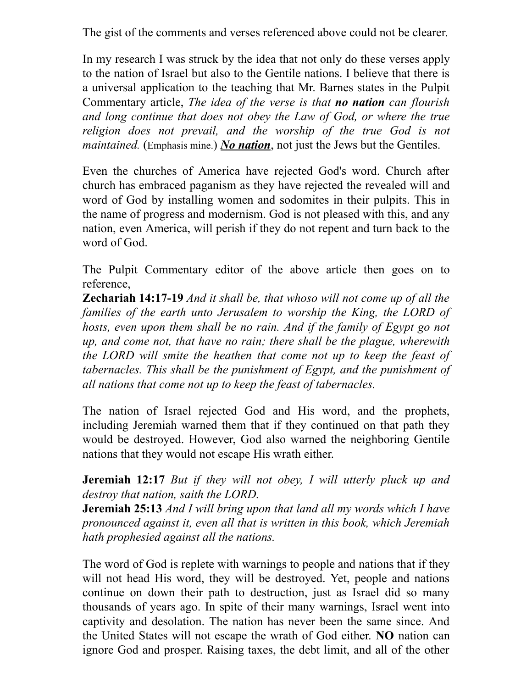The gist of the comments and verses referenced above could not be clearer.

In my research I was struck by the idea that not only do these verses apply to the nation of Israel but also to the Gentile nations. I believe that there is a universal application to the teaching that Mr. Barnes states in the Pulpit Commentary article, *The idea of the verse is that no nation can flourish and long continue that does not obey the Law of God, or where the true religion does not prevail, and the worship of the true God is not maintained.* (Emphasis mine.) *No nation*, not just the Jews but the Gentiles.

Even the churches of America have rejected God's word. Church after church has embraced paganism as they have rejected the revealed will and word of God by installing women and sodomites in their pulpits. This in the name of progress and modernism. God is not pleased with this, and any nation, even America, will perish if they do not repent and turn back to the word of God.

The Pulpit Commentary editor of the above article then goes on to reference,

**Zechariah 14:17-19** *And it shall be, that whoso will not come up of all the families of the earth unto Jerusalem to worship the King, the LORD of hosts, even upon them shall be no rain. And if the family of Egypt go not up, and come not, that have no rain; there shall be the plague, wherewith the LORD will smite the heathen that come not up to keep the feast of tabernacles. This shall be the punishment of Egypt, and the punishment of all nations that come not up to keep the feast of tabernacles.*

The nation of Israel rejected God and His word, and the prophets, including Jeremiah warned them that if they continued on that path they would be destroyed. However, God also warned the neighboring Gentile nations that they would not escape His wrath either.

**Jeremiah 12:17** *But if they will not obey, I will utterly pluck up and destroy that nation, saith the LORD.*

**Jeremiah 25:13** *And I will bring upon that land all my words which I have pronounced against it, even all that is written in this book, which Jeremiah hath prophesied against all the nations.*

The word of God is replete with warnings to people and nations that if they will not head His word, they will be destroyed. Yet, people and nations continue on down their path to destruction, just as Israel did so many thousands of years ago. In spite of their many warnings, Israel went into captivity and desolation. The nation has never been the same since. And the United States will not escape the wrath of God either. **NO** nation can ignore God and prosper. Raising taxes, the debt limit, and all of the other